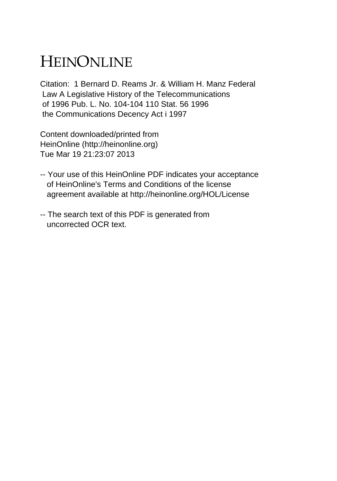## HEINONLINE

Citation: 1 Bernard D. Reams Jr. & William H. Manz Federal Law A Legislative History of the Telecommunications of 1996 Pub. L. No. 104-104 110 Stat. 56 1996 the Communications Decency Act i 1997

Content downloaded/printed from HeinOnline (http://heinonline.org) Tue Mar 19 21:23:07 2013

- -- Your use of this HeinOnline PDF indicates your acceptance of HeinOnline's Terms and Conditions of the license agreement available at http://heinonline.org/HOL/License
- -- The search text of this PDF is generated from uncorrected OCR text.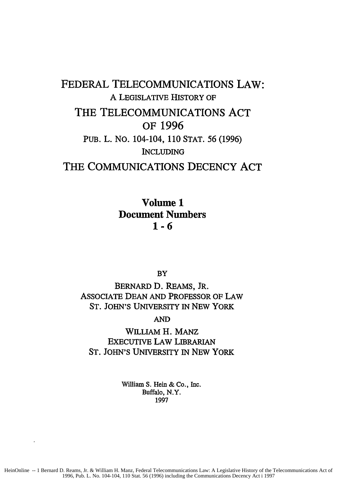## FEDERAL TELECOMMUNICATIONS LAW: A LEGISLATIVE HISTORY OF THE TELECOMMUNICATIONS **ACT** OF **1996** PUB. L. NO. 104-104, 110 STAT. 56 (1996) INCLUDING THE **COMMUNICATIONS DECENCY ACT**

Volume **1** Document Numbers **1-6**

BY

BERNARD D. REAMS, JR. ASSOCIATE DEAN AND PROFESSOR OF LAW ST. JOHN'S UNIVERSITY IN NEW YORK

AND

WILLIAM H. MANZ EXECUTIVE LAW LIBRARIAN ST. JOHN'S UNIVERSITY IN NEW YORK

> William S. Hein & Co., Inc. Buffalo, N.Y. 1997